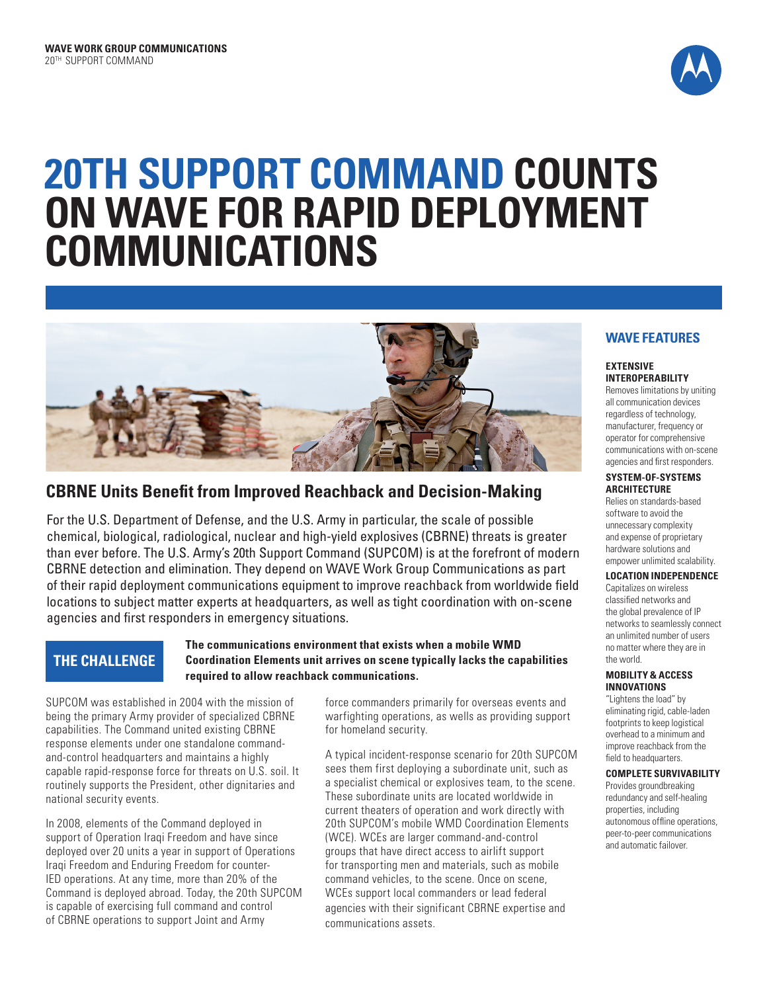

# **20TH SUPPORT COMMAND COUNTS ON WAVE FOR RAPID DEPLOYMENT COMMUNICATIONS**



# **CBRNE Units Benefit from Improved Reachback and Decision-Making**

For the U.S. Department of Defense, and the U.S. Army in particular, the scale of possible chemical, biological, radiological, nuclear and high-yield explosives (CBRNE) threats is greater than ever before. The U.S. Army's 20th Support Command (SUPCOM) is at the forefront of modern CBRNE detection and elimination. They depend on WAVE Work Group Communications as part of their rapid deployment communications equipment to improve reachback from worldwide field locations to subject matter experts at headquarters, as well as tight coordination with on-scene agencies and first responders in emergency situations.

# **THE CHALLENGE**

## **The communications environment that exists when a mobile WMD Coordination Elements unit arrives on scene typically lacks the capabilities required to allow reachback communications.**

SUPCOM was established in 2004 with the mission of being the primary Army provider of specialized CBRNE capabilities. The Command united existing CBRNE response elements under one standalone commandand-control headquarters and maintains a highly capable rapid-response force for threats on U.S. soil. It routinely supports the President, other dignitaries and national security events.

In 2008, elements of the Command deployed in support of Operation Iraqi Freedom and have since deployed over 20 units a year in support of Operations Iraqi Freedom and Enduring Freedom for counter-IED operations. At any time, more than 20% of the Command is deployed abroad. Today, the 20th SUPCOM is capable of exercising full command and control of CBRNE operations to support Joint and Army

force commanders primarily for overseas events and warfighting operations, as wells as providing support for homeland security.

A typical incident-response scenario for 20th SUPCOM sees them first deploying a subordinate unit, such as a specialist chemical or explosives team, to the scene. These subordinate units are located worldwide in current theaters of operation and work directly with 20th SUPCOM's mobile WMD Coordination Elements (WCE). WCEs are larger command-and-control groups that have direct access to airlift support for transporting men and materials, such as mobile command vehicles, to the scene. Once on scene, WCEs support local commanders or lead federal agencies with their significant CBRNE expertise and communications assets.

# **WAVE FEATURES**

#### **EXTENSIVE INTEROPERABILITY**

Removes limitations by uniting all communication devices regardless of technology, manufacturer, frequency or operator for comprehensive communications with on-scene agencies and first responders.

#### **SYSTEM-OF-SYSTEMS ARCHITECTURE**

Relies on standards-based software to avoid the unnecessary complexity and expense of proprietary hardware solutions and empower unlimited scalability.

## **LOCATION INDEPENDENCE**

Capitalizes on wireless classified networks and the global prevalence of IP networks to seamlessly connect an unlimited number of users no matter where they are in the world.

#### **MOBILITY & ACCESS INNOVATIONS**

"Lightens the load" by eliminating rigid, cable-laden footprints to keep logistical overhead to a minimum and improve reachback from the field to headquarters.

#### **COMPLETE SURVIVABILITY**

Provides groundbreaking redundancy and self-healing properties, including autonomous offline operations, peer-to-peer communications and automatic failover.